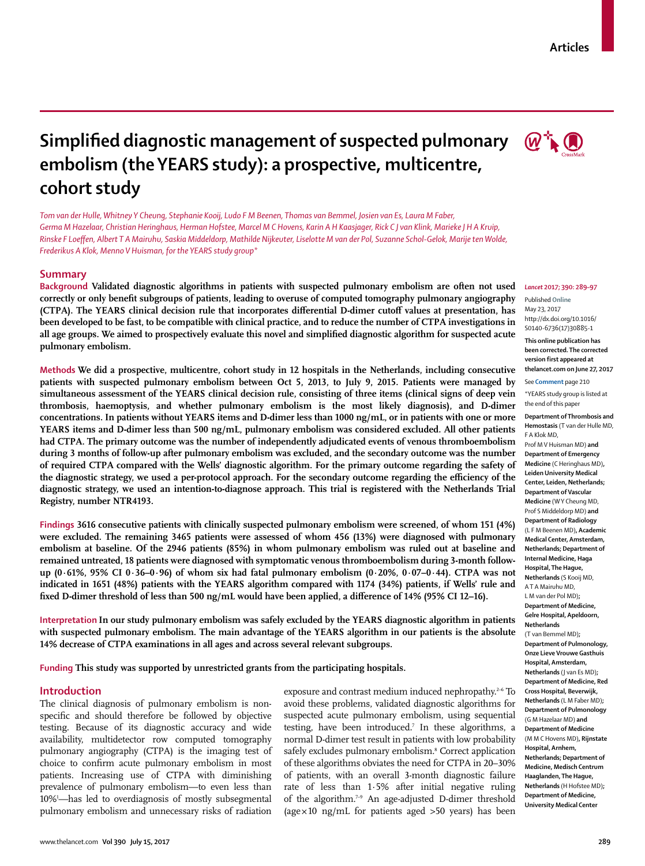# **Articles**

# **Simplified diagnostic management of suspected pulmonary embolism (the YEARS study): a prospective, multicentre, cohort study**

*Tom van der Hulle, Whitney Y Cheung, Stephanie Kooij, Ludo F M Beenen, Thomas van Bemmel, Josien van Es, Laura M Faber, Germa M Hazelaar, Christian Heringhaus, Herman Hofstee, Marcel M C Hovens, Karin A H Kaasjager, Rick C J van Klink, Marieke J H A Kruip, Rinske F Loeffen, Albert T A Mairuhu, Saskia Middeldorp, Mathilde Nijkeuter, Liselotte M van der Pol, Suzanne Schol-Gelok, Marije ten Wolde, Frederikus A Klok, Menno V Huisman, for the YEARS study group\**

## **Summary**

**Background Validated diagnostic algorithms in patients with suspected pulmonary embolism are often not used correctly or only benefit subgroups of patients, leading to overuse of computed tomography pulmonary angiography (CTPA). The YEARS clinical decision rule that incorporates differential D-dimer cutoff values at presentation, has been developed to be fast, to be compatible with clinical practice, and to reduce the number of CTPA investigations in all age groups. We aimed to prospectively evaluate this novel and simplified diagnostic algorithm for suspected acute pulmonary embolism.**

**Methods We did a prospective, multicentre, cohort study in 12 hospitals in the Netherlands, including consecutive patients with suspected pulmonary embolism between Oct 5, 2013, to July 9, 2015. Patients were managed by simultaneous assessment of the YEARS clinical decision rule, consisting of three items (clinical signs of deep vein thrombosis, haemoptysis, and whether pulmonary embolism is the most likely diagnosis), and D-dimer concentrations. In patients without YEARS items and D-dimer less than 1000 ng/mL, or in patients with one or more YEARS items and D-dimer less than 500 ng/mL, pulmonary embolism was considered excluded. All other patients had CTPA. The primary outcome was the number of independently adjudicated events of venous thromboembolism during 3 months of follow-up after pulmonary embolism was excluded, and the secondary outcome was the number of required CTPA compared with the Wells' diagnostic algorithm. For the primary outcome regarding the safety of the diagnostic strategy, we used a per-protocol approach. For the secondary outcome regarding the efficiency of the diagnostic strategy, we used an intention-to-diagnose approach. This trial is registered with the Netherlands Trial Registry, number NTR4193.**

**Findings 3616 consecutive patients with clinically suspected pulmonary embolism were screened, of whom 151 (4%) were excluded. The remaining 3465 patients were assessed of whom 456 (13%) were diagnosed with pulmonary embolism at baseline. Of the 2946 patients (85%) in whom pulmonary embolism was ruled out at baseline and remained untreated, 18 patients were diagnosed with symptomatic venous thromboembolism during 3-month followup (0·61%, 95% CI 0·36–0·96) of whom six had fatal pulmonary embolism (0·20%, 0·07–0·44). CTPA was not indicated in 1651 (48%) patients with the YEARS algorithm compared with 1174 (34%) patients, if Wells' rule and fixed D-dimer threshold of less than 500 ng/mL would have been applied, a difference of 14% (95% CI 12–16).**

**Interpretation In our study pulmonary embolism was safely excluded by the YEARS diagnostic algorithm in patients with suspected pulmonary embolism. The main advantage of the YEARS algorithm in our patients is the absolute 14% decrease of CTPA examinations in all ages and across several relevant subgroups.**

**Funding This study was supported by unrestricted grants from the participating hospitals.**

## **Introduction**

The clinical diagnosis of pulmonary embolism is nonspecific and should therefore be followed by objective testing. Because of its diagnostic accuracy and wide availability, multidetector row computed tomography pulmonary angiography (CTPA) is the imaging test of choice to confirm acute pulmonary embolism in most patients. Increasing use of CTPA with diminishing prevalence of pulmonary embolism—to even less than 10%1 —has led to overdiagnosis of mostly subsegmental pulmonary embolism and unnecessary risks of radiation

exposure and contrast medium induced nephropathy.<sup>2-6</sup> To avoid these problems, validated diagnostic algorithms for suspected acute pulmonary embolism, using sequential testing, have been introduced.<sup>7</sup> In these algorithms, a normal D-dimer test result in patients with low probability safely excludes pulmonary embolism.<sup>8</sup> Correct application of these algorithms obviates the need for CTPA in 20–30% of patients, with an overall 3-month diagnostic failure rate of less than 1·5% after initial negative ruling of the algorithm.7–9 An age-adjusted D-dimer threshold (age $\times$ 10 ng/mL for patients aged  $>$ 50 years) has been



#### *Lancet* **2017; 390: 289–97**

Published **Online** May 23, 2017 http://dx.doi.org/10.1016/ S0140-6736(17)30885-1

**This online publication has been corrected. The corrected version first appeared at thelancet.com on June 27, 2017**

See **Comment** page 210

\*YEARS study group is listed at the end of this pape

**Department of Thrombosis and Hemostasis** (T van der Hulle MD, F A Klok MD,

Prof M V Huisman MD) **and Department of Emergency Medicine** (C Heringhaus MD)**, Leiden University Medical Center, Leiden, Netherlands; Department of Vascular Medicine** (W Y Cheung MD, Prof S Middeldorp MD) **and Department of Radiology** (L F M Beenen MD)**, Academic Medical Center, Amsterdam, Netherlands; Department of Internal Medicine, Haga Hospital, The Hague, Netherlands** (S Kooij MD, A T A Mairuhu MD, L M van der Pol MD)**; Department of Medicine, Gelre Hospital, Apeldoorn, Netherlands** (T van Bemmel MD)**; Department of Pulmonology, Onze Lieve Vrouwe Gasthuis Hospital, Amsterdam, Netherlands** (J van Es MD)**; Department of Medicine, Red Cross Hospital, Beverwijk, Netherlands** (L M Faber MD)**; Department of Pulmonology**  (G M Hazelaar MD) **and Department of Medicine**  (M M C Hovens MD)**, Rijnstate** 

**Hospital, Arnhem, Netherlands; Department of Medicine, Medisch Centrum Haaglanden, The Hague, Netherlands** (H Hofstee MD)**; Department of Medicine, University Medical Center**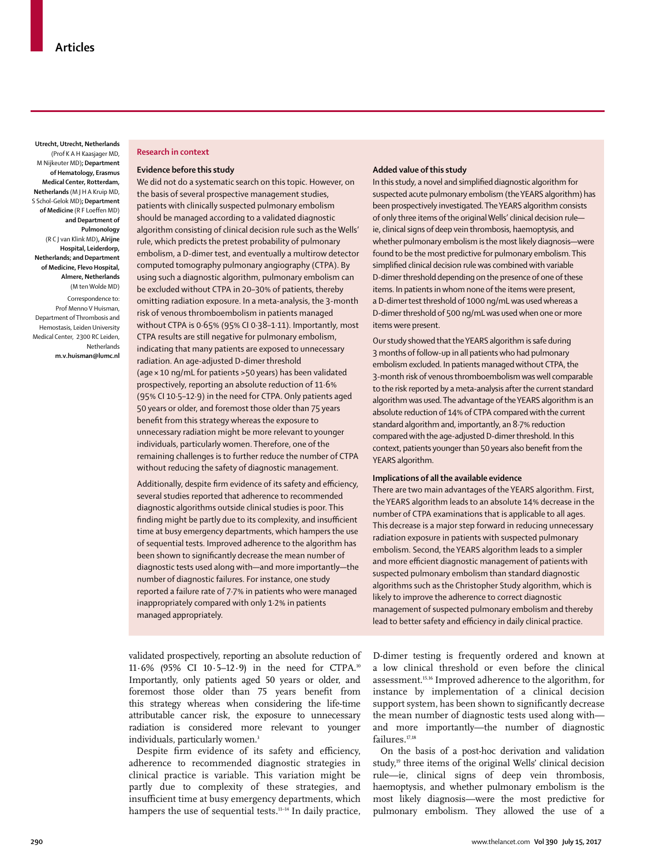**Utrecht, Utrecht, Netherlands**  (Prof K A H Kaasjager MD, M Nijkeuter MD)**; Department of Hematology, Erasmus Medical Center, Rotterdam, Netherlands** (M J H A Kruip MD, S Schol-Gelok MD)**; Department of Medicine** (R F Loeffen MD) **and Department of Pulmonology**  (R C J van Klink MD)**, Alrijne Hospital, Leiderdorp, Netherlands; and Department of Medicine, Flevo Hospital, Almere, Netherlands**  (M ten Wolde MD)

Correspondence to: Prof Menno V Huisman, Department of Thrombosis and Hemostasis, Leiden University Medical Center, 2300 RC Leiden, Netherlands **m.v.huisman@lumc.nl**

#### **Research in context**

#### **Evidence before this study**

We did not do a systematic search on this topic. However, on the basis of several prospective management studies, patients with clinically suspected pulmonary embolism should be managed according to a validated diagnostic algorithm consisting of clinical decision rule such as the Wells' rule, which predicts the pretest probability of pulmonary embolism, a D-dimer test, and eventually a multirow detector computed tomography pulmonary angiography (CTPA). By using such a diagnostic algorithm, pulmonary embolism can be excluded without CTPA in 20–30% of patients, thereby omitting radiation exposure. In a meta-analysis, the 3-month risk of venous thromboembolism in patients managed without CTPA is 0·65% (95% CI 0·38–1·11). Importantly, most CTPA results are still negative for pulmonary embolism, indicating that many patients are exposed to unnecessary radiation. An age-adjusted D-dimer threshold (age × 10 ng/mL for patients >50 years) has been validated prospectively, reporting an absolute reduction of 11·6% (95% CI 10·5–12·9) in the need for CTPA. Only patients aged 50 years or older, and foremost those older than 75 years benefit from this strategy whereas the exposure to unnecessary radiation might be more relevant to younger individuals, particularly women. Therefore, one of the remaining challenges is to further reduce the number of CTPA without reducing the safety of diagnostic management.

Additionally, despite firm evidence of its safety and efficiency, several studies reported that adherence to recommended diagnostic algorithms outside clinical studies is poor. This finding might be partly due to its complexity, and insufficient time at busy emergency departments, which hampers the use of sequential tests. Improved adherence to the algorithm has been shown to significantly decrease the mean number of diagnostic tests used along with—and more importantly—the number of diagnostic failures. For instance, one study reported a failure rate of 7·7% in patients who were managed inappropriately compared with only 1·2% in patients managed appropriately.

#### **Added value of this study**

In this study, a novel and simplified diagnostic algorithm for suspected acute pulmonary embolism (the YEARS algorithm) has been prospectively investigated. The YEARS algorithm consists of only three items of the original Wells' clinical decision rule ie, clinical signs of deep vein thrombosis, haemoptysis, and whether pulmonary embolism is the most likely diagnosis—were found to be the most predictive for pulmonary embolism. This simplified clinical decision rule was combined with variable D-dimer threshold depending on the presence of one of these items. In patients in whom none of the items were present, a D-dimer test threshold of 1000 ng/mL was used whereas a D-dimer threshold of 500 ng/mL was used when one or more items were present.

Our study showed that the YEARS algorithm is safe during 3 months of follow-up in all patients who had pulmonary embolism excluded. In patients managed without CTPA, the 3-month risk of venous thromboembolism was well comparable to the risk reported by a meta-analysis after the current standard algorithm was used. The advantage of the YEARS algorithm is an absolute reduction of 14% of CTPA compared with the current standard algorithm and, importantly, an 8·7% reduction compared with the age-adjusted D-dimer threshold. In this context, patients younger than 50 years also benefit from the YEARS algorithm.

### **Implications of all the available evidence**

There are two main advantages of the YEARS algorithm. First, the YEARS algorithm leads to an absolute 14% decrease in the number of CTPA examinations that is applicable to all ages. This decrease is a major step forward in reducing unnecessary radiation exposure in patients with suspected pulmonary embolism. Second, the YEARS algorithm leads to a simpler and more efficient diagnostic management of patients with suspected pulmonary embolism than standard diagnostic algorithms such as the Christopher Study algorithm, which is likely to improve the adherence to correct diagnostic management of suspected pulmonary embolism and thereby lead to better safety and efficiency in daily clinical practice.

validated prospectively, reporting an absolute reduction of 11·6% (95% CI 10·5–12·9) in the need for CTPA.10 Importantly, only patients aged 50 years or older, and foremost those older than 75 years benefit from this strategy whereas when considering the life-time attributable cancer risk, the exposure to unnecessary radiation is considered more relevant to younger individuals, particularly women.<sup>3</sup>

Despite firm evidence of its safety and efficiency, adherence to recommended diagnostic strategies in clinical practice is variable. This variation might be partly due to complexity of these strategies, and insufficient time at busy emergency departments, which hampers the use of sequential tests.<sup>11-14</sup> In daily practice, D-dimer testing is frequently ordered and known at a low clinical threshold or even before the clinical assessment.15,16 Improved adherence to the algorithm, for instance by implementation of a clinical decision support system, has been shown to significantly decrease the mean number of diagnostic tests used along with and more importantly—the number of diagnostic failures.<sup>17,18</sup>

On the basis of a post-hoc derivation and validation study,<sup>19</sup> three items of the original Wells' clinical decision rule—ie, clinical signs of deep vein thrombosis, haemoptysis, and whether pulmonary embolism is the most likely diagnosis—were the most predictive for pulmonary embolism. They allowed the use of a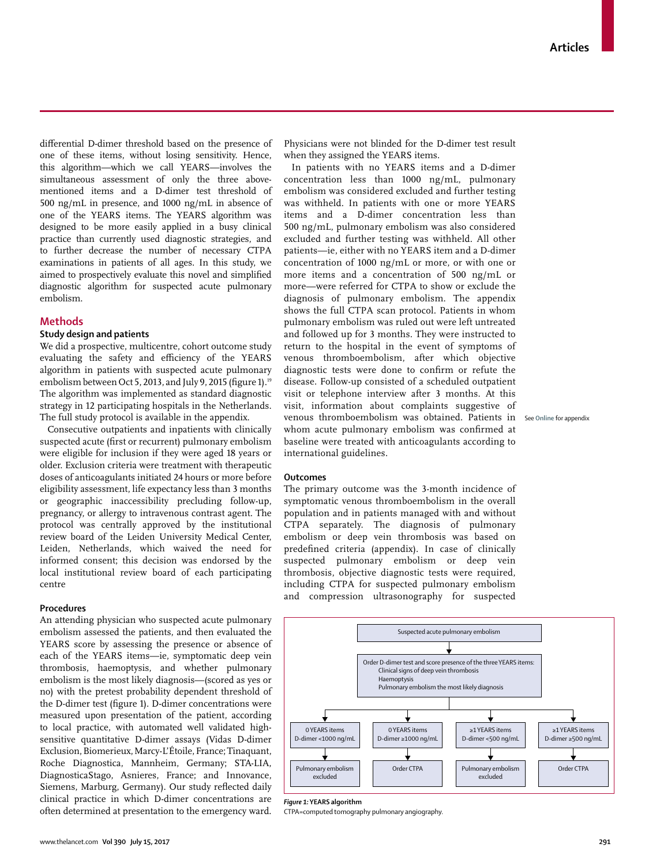differential D-dimer threshold based on the presence of one of these items, without losing sensitivity. Hence, this algorithm—which we call YEARS—involves the simultaneous assessment of only the three abovementioned items and a D-dimer test threshold of 500 ng/mL in presence, and 1000 ng/mL in absence of one of the YEARS items. The YEARS algorithm was designed to be more easily applied in a busy clinical practice than currently used diagnostic strategies, and to further decrease the number of necessary CTPA examinations in patients of all ages. In this study, we aimed to prospectively evaluate this novel and simplified diagnostic algorithm for suspected acute pulmonary embolism.

## **Methods**

## **Study design and patients**

We did a prospective, multicentre, cohort outcome study evaluating the safety and efficiency of the YEARS algorithm in patients with suspected acute pulmonary embolism between Oct 5, 2013, and July 9, 2015 (figure 1).<sup>19</sup> The algorithm was implemented as standard diagnostic strategy in 12 participating hospitals in the Netherlands. The full study protocol is available in the appendix.

Consecutive outpatients and inpatients with clinically suspected acute (first or recurrent) pulmonary embolism were eligible for inclusion if they were aged 18 years or older. Exclusion criteria were treatment with therapeutic doses of anticoagulants initiated 24 hours or more before eligibility assessment, life expectancy less than 3 months or geographic inaccessibility precluding follow-up, pregnancy, or allergy to intravenous contrast agent. The protocol was centrally approved by the institutional review board of the Leiden University Medical Center, Leiden, Netherlands, which waived the need for informed consent; this decision was endorsed by the local institutional review board of each participating centre

#### **Procedures**

An attending physician who suspected acute pulmonary embolism assessed the patients, and then evaluated the YEARS score by assessing the presence or absence of each of the YEARS items—ie, symptomatic deep vein thrombosis, haemoptysis, and whether pulmonary embolism is the most likely diagnosis—(scored as yes or no) with the pretest probability dependent threshold of the D-dimer test (figure 1). D-dimer concentrations were measured upon presentation of the patient, according to local practice, with automated well validated highsensitive quantitative D-dimer assays (Vidas D-dimer Exclusion, Biomerieux, Marcy-L'Étoile, France; Tinaquant, Roche Diagnostica, Mannheim, Germany; STA-LIA, DiagnosticaStago, Asnieres, France; and Innovance, Siemens, Marburg, Germany). Our study reflected daily clinical practice in which D-dimer concentrations are often determined at presentation to the emergency ward.

Physicians were not blinded for the D-dimer test result when they assigned the YEARS items.

In patients with no YEARS items and a D-dimer concentration less than 1000 ng/mL, pulmonary embolism was considered excluded and further testing was withheld. In patients with one or more YEARS items and a D-dimer concentration less than 500 ng/mL, pulmonary embolism was also considered excluded and further testing was withheld. All other patients—ie, either with no YEARS item and a D-dimer concentration of 1000 ng/mL or more, or with one or more items and a concentration of 500 ng/mL or more—were referred for CTPA to show or exclude the diagnosis of pulmonary embolism. The appendix shows the full CTPA scan protocol. Patients in whom pulmonary embolism was ruled out were left untreated and followed up for 3 months. They were instructed to return to the hospital in the event of symptoms of venous thromboembolism, after which objective diagnostic tests were done to confirm or refute the disease. Follow-up consisted of a scheduled outpatient visit or telephone interview after 3 months. At this visit, information about complaints suggestive of venous thromboembolism was obtained. Patients in See **Online** for appendixwhom acute pulmonary embolism was confirmed at baseline were treated with anticoagulants according to international guidelines.

## **Outcomes**

The primary outcome was the 3-month incidence of symptomatic venous thromboembolism in the overall population and in patients managed with and without CTPA separately. The diagnosis of pulmonary embolism or deep vein thrombosis was based on predefined criteria (appendix). In case of clinically suspected pulmonary embolism or deep vein thrombosis, objective diagnostic tests were required, including CTPA for suspected pulmonary embolism and compression ultrasonography for suspected



*Figure 1:* **YEARS algorithm**

CTPA=computed tomography pulmonary angiography.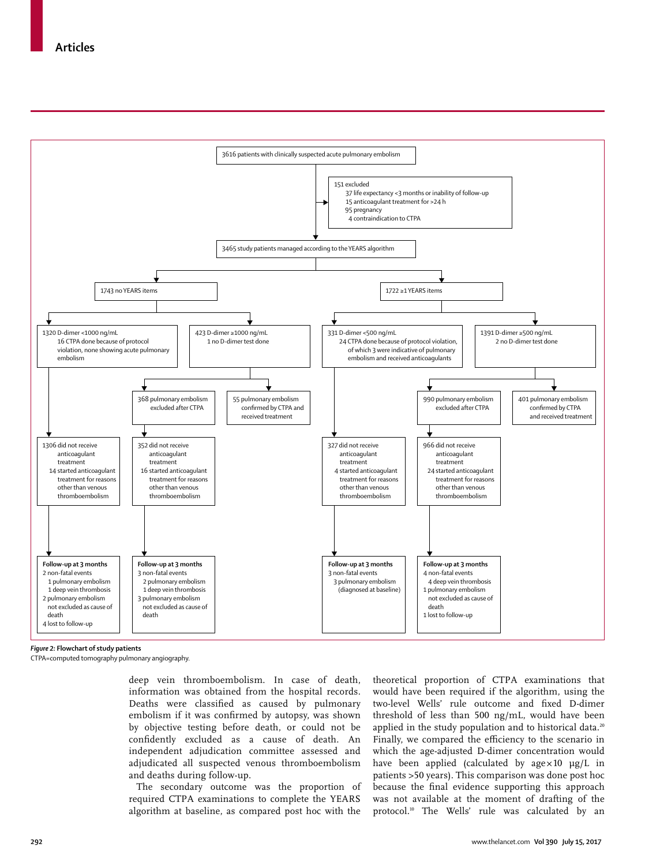

*Figure 2:* **Flowchart of study patients**

CTPA=computed tomography pulmonary angiography.

deep vein thromboembolism. In case of death, information was obtained from the hospital records. Deaths were classified as caused by pulmonary embolism if it was confirmed by autopsy, was shown by objective testing before death, or could not be confidently excluded as a cause of death. An independent adjudication committee assessed and adjudicated all suspected venous thromboembolism and deaths during follow-up.

The secondary outcome was the proportion of required CTPA examinations to complete the YEARS algorithm at baseline, as compared post hoc with the theoretical proportion of CTPA examinations that would have been required if the algorithm, using the two-level Wells' rule outcome and fixed D-dimer threshold of less than 500 ng/mL, would have been applied in the study population and to historical data.<sup>20</sup> Finally, we compared the efficiency to the scenario in which the age-adjusted D-dimer concentration would have been applied (calculated by  $age \times 10$   $\mu g/L$  in patients >50 years). This comparison was done post hoc because the final evidence supporting this approach was not available at the moment of drafting of the protocol.10 The Wells' rule was calculated by an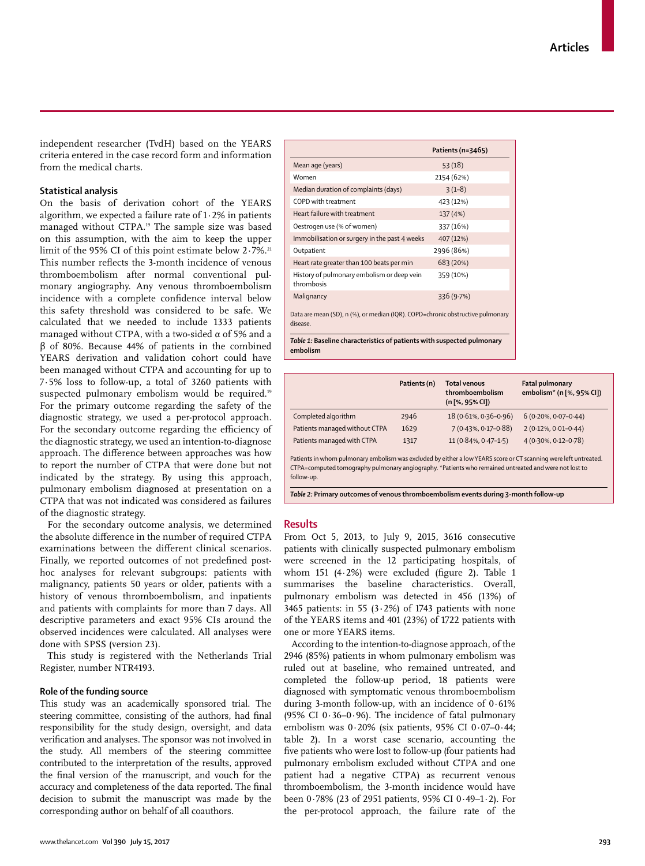independent researcher (TvdH) based on the YEARS criteria entered in the case record form and information from the medical charts.

## **Statistical analysis**

On the basis of derivation cohort of the YEARS algorithm, we expected a failure rate of  $1.2\%$  in patients managed without CTPA.19 The sample size was based on this assumption, with the aim to keep the upper limit of the 95% CI of this point estimate below 2.7%.<sup>21</sup> This number reflects the 3-month incidence of venous thromboembolism after normal conventional pulmonary angiography. Any venous thromboembolism incidence with a complete confidence interval below this safety threshold was considered to be safe. We calculated that we needed to include 1333 patients managed without CTPA, with a two-sided  $\alpha$  of 5% and a β of 80%. Because 44% of patients in the combined YEARS derivation and validation cohort could have been managed without CTPA and accounting for up to 7·5% loss to follow-up, a total of 3260 patients with suspected pulmonary embolism would be required.<sup>19</sup> For the primary outcome regarding the safety of the diagnostic strategy, we used a per-protocol approach. For the secondary outcome regarding the efficiency of the diagnostic strategy, we used an intention-to-diagnose approach. The difference between approaches was how to report the number of CTPA that were done but not indicated by the strategy. By using this approach, pulmonary embolism diagnosed at presentation on a CTPA that was not indicated was considered as failures of the diagnostic strategy.

For the secondary outcome analysis, we determined the absolute difference in the number of required CTPA examinations between the different clinical scenarios. Finally, we reported outcomes of not predefined posthoc analyses for relevant subgroups: patients with malignancy, patients 50 years or older, patients with a history of venous thromboembolism, and inpatients and patients with complaints for more than 7 days. All descriptive parameters and exact 95% CIs around the observed incidences were calculated. All analyses were done with SPSS (version 23).

This study is registered with the Netherlands Trial Register, number NTR4193.

## **Role of the funding source**

This study was an academically sponsored trial. The steering committee, consisting of the authors, had final responsibility for the study design, oversight, and data verification and analyses. The sponsor was not involved in the study. All members of the steering committee contributed to the interpretation of the results, approved the final version of the manuscript, and vouch for the accuracy and completeness of the data reported. The final decision to submit the manuscript was made by the corresponding author on behalf of all coauthors.

|                                                                                            | Patients (n=3465) |  |  |  |  |  |  |  |
|--------------------------------------------------------------------------------------------|-------------------|--|--|--|--|--|--|--|
| Mean age (years)                                                                           | 53(18)            |  |  |  |  |  |  |  |
| Women                                                                                      | 2154 (62%)        |  |  |  |  |  |  |  |
| Median duration of complaints (days)                                                       | $3(1-8)$          |  |  |  |  |  |  |  |
| COPD with treatment                                                                        | 423 (12%)         |  |  |  |  |  |  |  |
| Heart failure with treatment                                                               | 137 (4%)          |  |  |  |  |  |  |  |
| Oestrogen use (% of women)                                                                 | 337 (16%)         |  |  |  |  |  |  |  |
| Immobilisation or surgery in the past 4 weeks                                              | 407 (12%)         |  |  |  |  |  |  |  |
| Outpatient                                                                                 | 2996 (86%)        |  |  |  |  |  |  |  |
| Heart rate greater than 100 beats per min                                                  | 683 (20%)         |  |  |  |  |  |  |  |
| History of pulmonary embolism or deep vein<br>thrombosis                                   | 359 (10%)         |  |  |  |  |  |  |  |
| Malignancy                                                                                 | 336 (9.7%)        |  |  |  |  |  |  |  |
| Data are mean (SD), n (%), or median (IQR). COPD=chronic obstructive pulmonary<br>ezseazih |                   |  |  |  |  |  |  |  |

*Table 1:* **Baseline characteristics of patients with suspected pulmonary** 

**Patients (n) Total venous thromboembolism (n [%, 95% CI]) Fatal pulmonary embolism\* (n [%, 95% CI])** Completed algorithm 2946 18 (0·61%, 0·36–0·96) 6 (0·20%, 0·07–0·44) Patients managed without CTPA 1629 7 (0·43%, 0·17-0·88) 2 (0·12%, 0·01-0·44) Patients managed with CTPA 1317 11 (0.84%, 0.47-1.5) 4 (0.30%, 0.12-0.78)

Patients in whom pulmonary embolism was excluded by either a low YEARS score or CT scanning were left untreated. CTPA=computed tomography pulmonary angiography. \*Patients who remained untreated and were not lost to follow-up.

*Table 2:* **Primary outcomes of venous thromboembolism events during 3-month follow-up**

# **Results**

**embolism**

From Oct 5, 2013, to July 9, 2015, 3616 consecutive patients with clinically suspected pulmonary embolism were screened in the 12 participating hospitals, of whom 151 (4·2%) were excluded (figure 2). Table 1 summarises the baseline characteristics. Overall, pulmonary embolism was detected in 456 (13%) of 3465 patients: in 55 (3**·**2%) of 1743 patients with none of the YEARS items and 401 (23%) of 1722 patients with one or more YEARS items.

According to the intention-to-diagnose approach, of the 2946 (85%) patients in whom pulmonary embolism was ruled out at baseline, who remained untreated, and completed the follow-up period, 18 patients were diagnosed with symptomatic venous thromboembolism during 3-month follow-up, with an incidence of 0·61% (95% CI  $0.36-0.96$ ). The incidence of fatal pulmonary embolism was 0·20% (six patients, 95% CI 0·07–0·44; table 2). In a worst case scenario, accounting the five patients who were lost to follow-up (four patients had pulmonary embolism excluded without CTPA and one patient had a negative CTPA) as recurrent venous thromboembolism, the 3-month incidence would have been 0·78% (23 of 2951 patients, 95% CI 0·49–1·2). For the per-protocol approach, the failure rate of the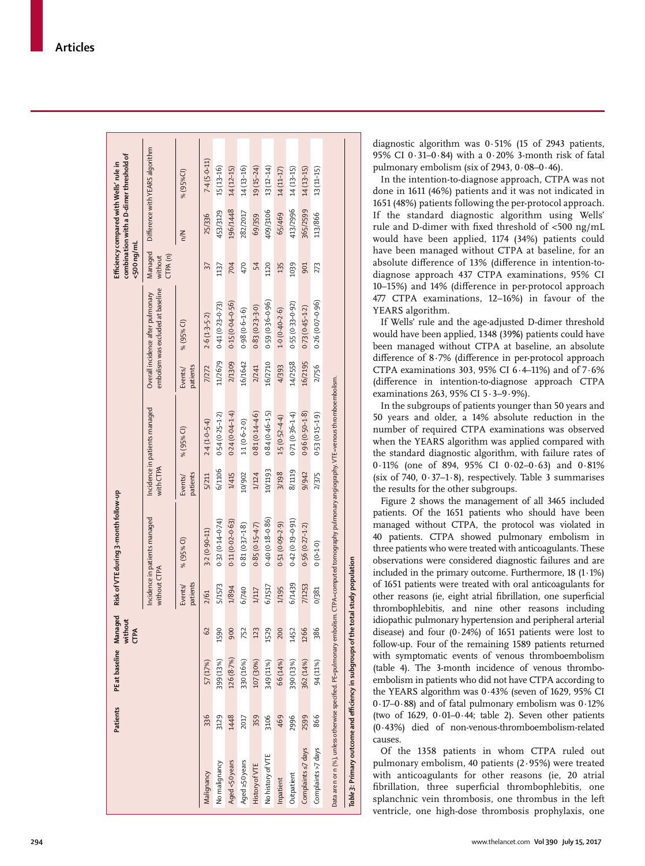|                    | Patients | PE at baseline Managed<br>without | <b>CTPA</b>   |                     | Risk of VTE during 3-month follow-up                                                                                                                |                    |                               |                    |                                                                        | <500 ng/ml                   | Efficiency compared with Wells' rule in | combination with a D-dimer threshold of |
|--------------------|----------|-----------------------------------|---------------|---------------------|-----------------------------------------------------------------------------------------------------------------------------------------------------|--------------------|-------------------------------|--------------------|------------------------------------------------------------------------|------------------------------|-----------------------------------------|-----------------------------------------|
|                    |          |                                   |               | without CTPA        | Incidence in patients managed                                                                                                                       | with CTPA          | Incidence in patients managed |                    | embolism was excluded at baseline<br>Overall incidence after pulmonary | Managed<br>CPA(n)<br>without |                                         | Difference with YEARS algorithm         |
|                    |          |                                   |               | patients<br>Events/ | % (95% CI)                                                                                                                                          | patients<br>Events | % (95% CI)                    | patients<br>Events | % (95% CI)                                                             |                              | $\leq$                                  | % (95%Cl)                               |
| Malignancy         | 336      | 57 (17%)                          | $\mathcal{S}$ | 2/61                | $3.2(0.90 - 11)$                                                                                                                                    | 5/211              | $2.4(1.0 - 5.4)$              | 7/272              | $2.6(1.3 - 5.2)$                                                       | 57                           | 25/336                                  | $7.4(5.0 - 11)$                         |
| No malignancy      | 3129     | 399 (13%)                         | 1590          | 5/1573              | $0.32(0.14 - 0.74)$                                                                                                                                 | 6/1106             | $0.54(0.25 - 1.2)$            | 11/2679            | $0.41(0.23 - 0.73)$                                                    | 1137                         | 453/3129                                | 15 (13-16)                              |
| Aged <50 years     | 1448     | 126 (8.7%)                        | 900           | 1/894               | $0.11(0.02 - 0.63)$                                                                                                                                 | 1/415              | $0.24(0.04 - 1.4)$            | 2/1309             | $0.15(0.04 - 0.56)$                                                    | 704                          | 196/1448                                | $14(12 - 15)$                           |
| Aged ≥50 years     | 2017     | 330 (16%)                         | 752           | 6/740               | $0.81(0.37 - 1.8)$                                                                                                                                  | 10/902             | $1.1(0.6-2.0)$                | 16/1642            | $0.98(0.6 - 1.6)$                                                      | 470                          | 282/2017                                | $14(13-16)$                             |
| History of VTE     | 359      | 107 (30%)                         | 123           | 1/117               | $0.85(0.15 - 4.7)$                                                                                                                                  | 1/124              | $0.81(0.14 - 4.6)$            | 2/241              | $0.83(0.23-3.0)$                                                       | 54                           | 69/359                                  | 19 (15-24)                              |
| No history of VTE  | 3106     | 349 (11%)                         | 1529          | 6/1517              | $0.40(0.18 - 0.86)$                                                                                                                                 | 10/1193            | $0.84(0.46 - 1.5)$            | 16/2710            | $0.59(0.36 - 0.96)$                                                    | 1120                         | 409/3106                                | 13 (12-14)                              |
| Inpatient          | 469      | 66 (14%)                          | 200           | 1/195               | $0.51(0.09 - 2.9)$                                                                                                                                  | 3/198              | $1.5(0.52 - 4.4)$             | 4/393              | $1.0(0.40-2.6)$                                                        | 135                          | 65/469                                  | 14 (11-17)                              |
| Outpatient         | 2996     | 390 (13%)                         | 1452          | 6/1439              | $(16.0 - 61.0)$ 24.0                                                                                                                                | 8/1119             | $0.71(0.36 - 1.4)$            | 14/2558            | $0.55(0.33 - 0.92)$                                                    | 1039                         | 413/2996                                | 14(13-15)                               |
| Complaints s7 days | 2599     | 362 (14%)                         | 1266          | 7/1253              | $0.56(0.27 - 1.2)$                                                                                                                                  | 9/942              | $0.96(0.50-1.8)$              | 16/2195            | $0.73(0.45 - 1.2)$                                                     | 901                          | 365/2599                                | $14(13-15)$                             |
| Complaints >7 days | 866      | 94 (11%)                          | 386           | 0/381               | $(0 - 1.0)$                                                                                                                                         | 2/375              | $0.53(0.15 - 1.9)$            | 2/756              | $0.26(0.07 - 0.96)$                                                    | 273                          | 113/866                                 | 13 (11-15)                              |
|                    |          |                                   |               |                     | Data are n or n (%), unless otherwise specified. PE=pulmonary embolism. CTPA=computed tomography pulmonary angiography. VTE=venous thromboembolism. |                    |                               |                    |                                                                        |                              |                                         |                                         |

Table 3: Primary outcome and efficiency in subgroups of the total study population *Table 3***: Primary outcome and efficiency in subgroups of the total study population**

diagnostic algorithm was 0·51% (15 of 2943 patients, 95% CI 0·31–0·84) with a 0·20% 3-month risk of fatal pulmonary embolism (six of 2943, 0·08–0·46).

In the intention-to-diagnose approach, CTPA was not done in 1611 (46%) patients and it was not indicated in 1651 (48%) patients following the per-protocol approach. If the standard diagnostic algorithm using Wells' rule and D-dimer with fixed threshold of <500 ng/mL would have been applied, 1174 (34%) patients could have been managed without CTPA at baseline, for an absolute difference of 13% (difference in intention-todiagnose approach 437 CTPA examinations, 95% CI 10–15%) and 14% (difference in per-protocol approach 477 CTPA examinations, 12–16%) in favour of the YEARS algorithm.

If Wells' rule and the age-adjusted D-dimer threshold would have been applied, 1348 (39 **%**) patients could have been managed without CTPA at baseline, an absolute difference of 8·7% (difference in per-protocol approach CTPA examinations 303, 95% CI 6·4–11%) and of 7·6% (difference in intention-to-diagnose approach CTPA examinations 263, 95% CI 5·3–9·9%).

In the subgroups of patients younger than 50 years and 50 years and older, a 14% absolute reduction in the number of required CTPA examinations was observed when the YEARS algorithm was applied compared with the standard diagnostic algorithm, with failure rates of 0·11% (one of 894, 95% CI 0·02–0·63) and 0·81% (six of 740,  $0.37-1.8$ ), respectively. Table 3 summarises the results for the other subgroups.

Figure 2 shows the management of all 3465 included patients. Of the 1651 patients who should have been managed without CTPA, the protocol was violated in 40 patients. CTPA showed pulmonary embolism in three patients who were treated with anticoagulants. These observations were considered diagnostic failures and are included in the primary outcome. Furthermore,  $18(1.1\%)$ of 1651 patients were treated with oral anticoagulants for other reasons (ie, eight atrial fibrillation, one superficial thrombophlebitis, and nine other reasons including idiopathic pulmonary hypertension and peripheral arterial disease) and four  $(0.24%)$  of 1651 patients were lost to follow-up. Four of the remaining 1589 patients returned with symptomatic events of venous thromboembolism (table 4). The 3-month incidence of venous thromboembolism in patients who did not have CTPA according to the YEARS algorithm was 0·43% (seven of 1629, 95% CI 0·17–0·88) and of fatal pulmonary embolism was 0·12% (two of 1629,  $0.01-0.44$ ; table 2). Seven other patients (0·43%) died of non-venous-thromboembolism-related causes.

Of the 1358 patients in whom CTPA ruled out pulmonary embolism, 40 patients (2·95%) were treated with anticoagulants for other reasons (ie, 20 atrial fibrillation, three superficial thrombophlebitis, one splanchnic vein thrombosis, one thrombus in the left ventricle, one high-dose thrombosis prophylaxis, one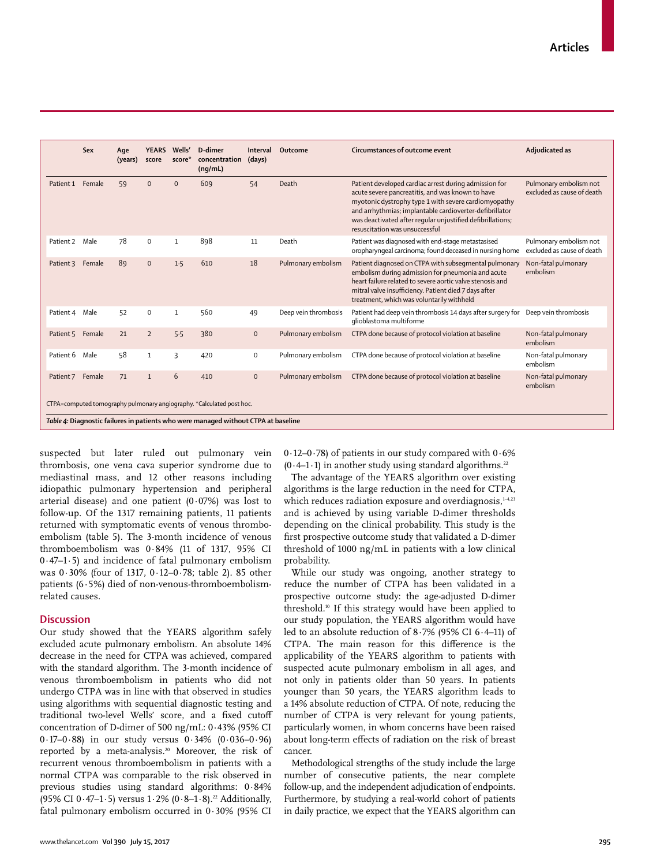|                                                                                    | Sex    | Age<br>(years) | <b>YEARS</b><br>score | Wells'<br>score* | D-dimer<br>concentration<br>(nq/mL)                                   | Interval<br>(days) | Outcome              | Circumstances of outcome event                                                                                                                                                                                                                                                                                               | Adjudicated as                                       |
|------------------------------------------------------------------------------------|--------|----------------|-----------------------|------------------|-----------------------------------------------------------------------|--------------------|----------------------|------------------------------------------------------------------------------------------------------------------------------------------------------------------------------------------------------------------------------------------------------------------------------------------------------------------------------|------------------------------------------------------|
| Patient 1                                                                          | Female | 59             | $\Omega$              | $\Omega$         | 609                                                                   | 54                 | Death                | Patient developed cardiac arrest during admission for<br>acute severe pancreatitis, and was known to have<br>myotonic dystrophy type 1 with severe cardiomyopathy<br>and arrhythmias; implantable cardioverter-defibrillator<br>was deactivated after reqular unjustified defibrillations;<br>resuscitation was unsuccessful | Pulmonary embolism not<br>excluded as cause of death |
| Patient 2                                                                          | Male   | 78             | 0                     | $\mathbf{1}$     | 898                                                                   | 11                 | Death                | Patient was diagnosed with end-stage metastasised<br>oropharyngeal carcinoma; found deceased in nursing home                                                                                                                                                                                                                 | Pulmonary embolism not<br>excluded as cause of death |
| Patient 3                                                                          | Female | 89             | $\mathbf{0}$          | 1.5              | 610                                                                   | 18                 | Pulmonary embolism   | Patient diagnosed on CTPA with subsegmental pulmonary<br>embolism during admission for pneumonia and acute<br>heart failure related to severe aortic valve stenosis and<br>mitral valve insufficiency. Patient died 7 days after<br>treatment, which was voluntarily withheld                                                | Non-fatal pulmonary<br>embolism                      |
| Patient 4                                                                          | Male   | 52             | $\Omega$              | $\mathbf{1}$     | 560                                                                   | 49                 | Deep vein thrombosis | Patient had deep vein thrombosis 14 days after surgery for<br>glioblastoma multiforme                                                                                                                                                                                                                                        | Deep vein thrombosis                                 |
| Patient 5                                                                          | Female | 21             | $\overline{2}$        | 5.5              | 380                                                                   | $\mathbf{0}$       | Pulmonary embolism   | CTPA done because of protocol violation at baseline                                                                                                                                                                                                                                                                          | Non-fatal pulmonary<br>embolism                      |
| Patient 6                                                                          | Male   | 58             | $\mathbf{1}$          | 3                | 420                                                                   | $\mathbf 0$        | Pulmonary embolism   | CTPA done because of protocol violation at baseline                                                                                                                                                                                                                                                                          | Non-fatal pulmonary<br>embolism                      |
| Patient 7                                                                          | Female | 71             | $\mathbf{1}$          | 6                | 410                                                                   | $\mathbf{0}$       | Pulmonary embolism   | CTPA done because of protocol violation at baseline                                                                                                                                                                                                                                                                          | Non-fatal pulmonary<br>embolism                      |
|                                                                                    |        |                |                       |                  | CTPA=computed tomography pulmonary angiography. *Calculated post hoc. |                    |                      |                                                                                                                                                                                                                                                                                                                              |                                                      |
| Table 4: Diagnostic failures in patients who were managed without CTPA at baseline |        |                |                       |                  |                                                                       |                    |                      |                                                                                                                                                                                                                                                                                                                              |                                                      |

suspected but later ruled out pulmonary vein thrombosis, one vena cava superior syndrome due to mediastinal mass, and 12 other reasons including idiopathic pulmonary hypertension and peripheral arterial disease) and one patient  $(0.07%)$  was lost to follow-up. Of the 1317 remaining patients, 11 patients returned with symptomatic events of venous thromboembolism (table 5). The 3-month incidence of venous thromboembolism was 0·84% (11 of 1317, 95% CI 0·47–1·5) and incidence of fatal pulmonary embolism was 0·30% (four of 1317, 0·12–0·78; table 2). 85 other patients (6·5%) died of non-venous-thromboembolismrelated causes.

## **Discussion**

Our study showed that the YEARS algorithm safely excluded acute pulmonary embolism. An absolute 14% decrease in the need for CTPA was achieved, compared with the standard algorithm. The 3-month incidence of venous thromboembolism in patients who did not undergo CTPA was in line with that observed in studies using algorithms with sequential diagnostic testing and traditional two-level Wells' score, and a fixed cutoff concentration of D-dimer of 500 ng/mL: 0·43% (95% CI 0·17–0·88) in our study versus 0·34% (0·036–0·96) reported by a meta-analysis.<sup>20</sup> Moreover, the risk of recurrent venous thromboembolism in patients with a normal CTPA was comparable to the risk observed in previous studies using standard algorithms: 0·84% (95% CI 0·47-1·5) versus  $1.2%$  (0·8-1·8).<sup>22</sup> Additionally, fatal pulmonary embolism occurred in 0·30% (95% CI 0·12–0·78) of patients in our study compared with 0·6%  $(0.4–1.1)$  in another study using standard algorithms.<sup>22</sup>

The advantage of the YEARS algorithm over existing algorithms is the large reduction in the need for CTPA, which reduces radiation exposure and overdiagnosis,<sup>1-4,23</sup> and is achieved by using variable D-dimer thresholds depending on the clinical probability. This study is the first prospective outcome study that validated a D-dimer threshold of 1000 ng/mL in patients with a low clinical probability.

While our study was ongoing, another strategy to reduce the number of CTPA has been validated in a prospective outcome study: the age-adjusted D-dimer threshold.10 If this strategy would have been applied to our study population, the YEARS algorithm would have led to an absolute reduction of 8·7% (95% CI 6·4–11) of CTPA. The main reason for this difference is the applicability of the YEARS algorithm to patients with suspected acute pulmonary embolism in all ages, and not only in patients older than 50 years. In patients younger than 50 years, the YEARS algorithm leads to a 14% absolute reduction of CTPA. Of note, reducing the number of CTPA is very relevant for young patients, particularly women, in whom concerns have been raised about long-term effects of radiation on the risk of breast cancer.

Methodological strengths of the study include the large number of consecutive patients, the near complete follow-up, and the independent adjudication of endpoints. Furthermore, by studying a real-world cohort of patients in daily practice, we expect that the YEARS algorithm can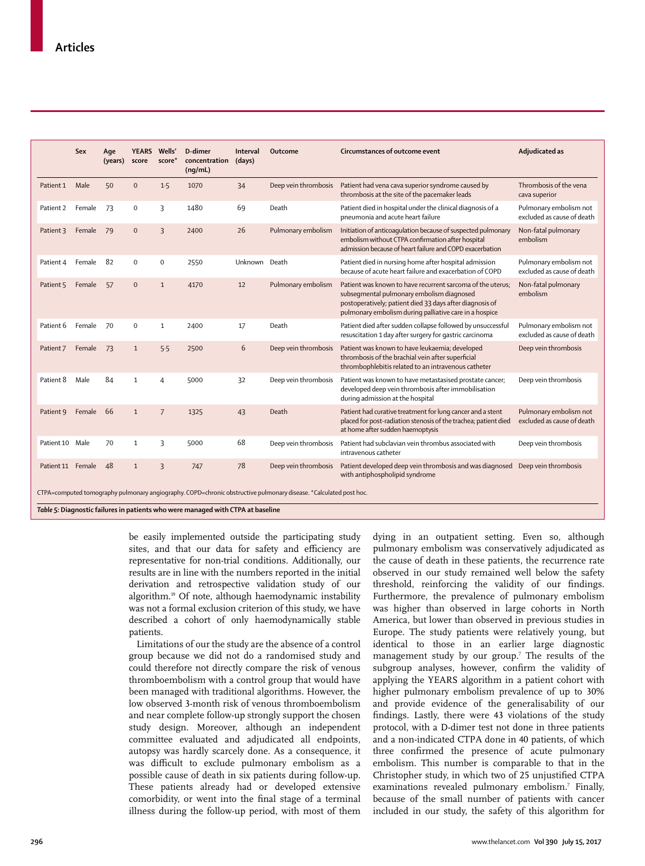|                                                                                                                   | Sex    | Age<br>(years) | <b>YEARS</b><br>score | Wells'<br>score* | D-dimer<br>concentration<br>(nq/mL) | Interval<br>(days) | Outcome              | Circumstances of outcome event                                                                                                                                                                                                | Adjudicated as                                       |
|-------------------------------------------------------------------------------------------------------------------|--------|----------------|-----------------------|------------------|-------------------------------------|--------------------|----------------------|-------------------------------------------------------------------------------------------------------------------------------------------------------------------------------------------------------------------------------|------------------------------------------------------|
| Patient 1                                                                                                         | Male   | 50             | $\pmb{0}$             | 1.5              | 1070                                | 34                 | Deep vein thrombosis | Patient had vena cava superior syndrome caused by<br>thrombosis at the site of the pacemaker leads                                                                                                                            | Thrombosis of the vena<br>cava superior              |
| Patient 2                                                                                                         | Female | 73             | $\mathbf 0$           | 3                | 1480                                | 69                 | Death                | Patient died in hospital under the clinical diagnosis of a<br>pneumonia and acute heart failure                                                                                                                               | Pulmonary embolism not<br>excluded as cause of death |
| Patient 3                                                                                                         | Female | 79             | $\mathbf{0}$          | $\overline{3}$   | 2400                                | 26                 | Pulmonary embolism   | Initiation of anticoaqulation because of suspected pulmonary<br>embolism without CTPA confirmation after hospital<br>admission because of heart failure and COPD exacerbation                                                 | Non-fatal pulmonary<br>embolism                      |
| Patient 4                                                                                                         | Female | 82             | $\Omega$              | $\mathbf 0$      | 2550                                | Unknown            | Death                | Patient died in nursing home after hospital admission<br>because of acute heart failure and exacerbation of COPD                                                                                                              | Pulmonary embolism not<br>excluded as cause of death |
| Patient 5                                                                                                         | Female | 57             | $\Omega$              | $\mathbf{1}$     | 4170                                | 12                 | Pulmonary embolism   | Patient was known to have recurrent sarcoma of the uterus;<br>subseqmental pulmonary embolism diagnosed<br>postoperatively; patient died 33 days after diagnosis of<br>pulmonary embolism during palliative care in a hospice | Non-fatal pulmonary<br>embolism                      |
| Patient 6                                                                                                         | Female | 70             | $\mathbf 0$           | $\mathbf{1}$     | 2400                                | 17                 | Death                | Patient died after sudden collapse followed by unsuccessful<br>resuscitation 1 day after surgery for gastric carcinoma                                                                                                        | Pulmonary embolism not<br>excluded as cause of death |
| Patient 7                                                                                                         | Female | 73             | $\mathbf{1}$          | 5.5              | 2500                                | 6                  | Deep vein thrombosis | Patient was known to have leukaemia; developed<br>thrombosis of the brachial vein after superficial<br>thrombophlebitis related to an intravenous catheter                                                                    | Deep vein thrombosis                                 |
| Patient 8                                                                                                         | Male   | 84             | $\mathbf{1}$          | 4                | 5000                                | 32                 | Deep vein thrombosis | Patient was known to have metastasised prostate cancer;<br>developed deep vein thrombosis after immobilisation<br>during admission at the hospital                                                                            | Deep vein thrombosis                                 |
| Patient 9                                                                                                         | Female | 66             | $\mathbf{1}$          | $\overline{7}$   | 1325                                | 43                 | Death                | Patient had curative treatment for lung cancer and a stent<br>placed for post-radiation stenosis of the trachea; patient died<br>at home after sudden haemoptysis                                                             | Pulmonary embolism not<br>excluded as cause of death |
| Patient 10 Male                                                                                                   |        | 70             | $\mathbf{1}$          | 3                | 5000                                | 68                 | Deep vein thrombosis | Patient had subclavian vein thrombus associated with<br>intravenous catheter                                                                                                                                                  | Deep vein thrombosis                                 |
| Patient 11                                                                                                        | Female | 48             | $\mathbf{1}$          | 3                | 747                                 | 78                 | Deep vein thrombosis | Patient developed deep vein thrombosis and was diagnosed Deep vein thrombosis<br>with antiphospholipid syndrome                                                                                                               |                                                      |
| CTPA=computed tomography pulmonary angiography. COPD=chronic obstructive pulmonary disease. *Calculated post hoc. |        |                |                       |                  |                                     |                    |                      |                                                                                                                                                                                                                               |                                                      |

*Table 5:* **Diagnostic failures in patients who were managed with CTPA at baseline**

be easily implemented outside the participating study sites, and that our data for safety and efficiency are representative for non-trial conditions. Additionally, our results are in line with the numbers reported in the initial derivation and retrospective validation study of our algorithm.19 Of note, although haemodynamic instability was not a formal exclusion criterion of this study, we have described a cohort of only haemodynamically stable patients.

Limitations of our the study are the absence of a control group because we did not do a randomised study and could therefore not directly compare the risk of venous thromboembolism with a control group that would have been managed with traditional algorithms. However, the low observed 3-month risk of venous thromboembolism and near complete follow-up strongly support the chosen study design. Moreover, although an independent committee evaluated and adjudicated all endpoints, autopsy was hardly scarcely done. As a consequence, it was difficult to exclude pulmonary embolism as a possible cause of death in six patients during follow-up. These patients already had or developed extensive comorbidity, or went into the final stage of a terminal illness during the follow-up period, with most of them dying in an outpatient setting. Even so, although pulmonary embolism was conservatively adjudicated as the cause of death in these patients, the recurrence rate observed in our study remained well below the safety threshold, reinforcing the validity of our findings. Furthermore, the prevalence of pulmonary embolism was higher than observed in large cohorts in North America, but lower than observed in previous studies in Europe. The study patients were relatively young, but identical to those in an earlier large diagnostic management study by our group.<sup>7</sup> The results of the subgroup analyses, however, confirm the validity of applying the YEARS algorithm in a patient cohort with higher pulmonary embolism prevalence of up to 30% and provide evidence of the generalisability of our findings. Lastly, there were 43 violations of the study protocol, with a D-dimer test not done in three patients and a non-indicated CTPA done in 40 patients, of which three confirmed the presence of acute pulmonary embolism. This number is comparable to that in the Christopher study, in which two of 25 unjustified CTPA examinations revealed pulmonary embolism.<sup>7</sup> Finally, because of the small number of patients with cancer included in our study, the safety of this algorithm for